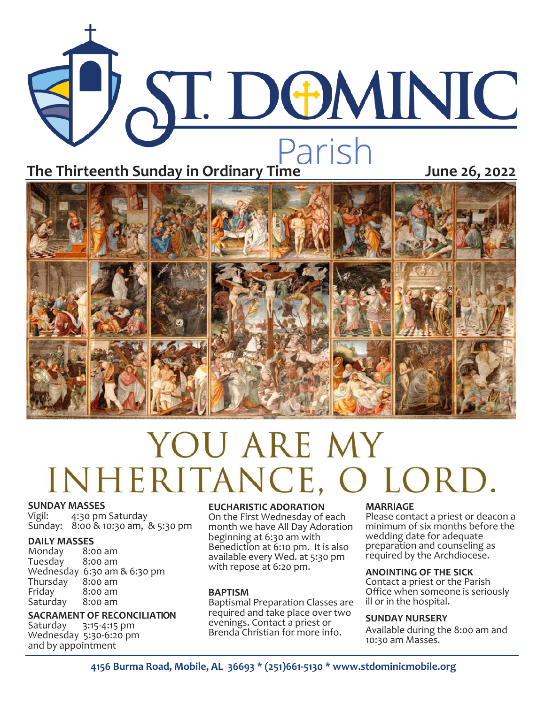



# YOU ARE MY INHERITANCE, O LORD

#### **SUNDAY MASSES**

Vigil: 4:30 pm Saturday Sunday: 8:00 & 10:30 am, & 5:30 pm

**DAILY MASSES**  Monday 8:00 am Tuesday Wednesday 6:30 am & 6:30 pm<br>Thursday 8:00 am Thursday<br>Friday  $8:00$  am<br> $8:00$  am Saturday

### **SACRAMENT OF RECONCILIATION**

Saturday 3:15-4:15 pm Wednesday 5:30-6:20 pm and by appointment

#### **EUCHARISTIC ADORATION**

On the First Wednesday of each month we have All Day Adoration beginning at 6:30 am with Benediction at 6:10 pm. It is also available every Wed. at 5:30 pm with repose at 6:20 pm.

#### **BAPTISM**

Baptismal Preparation Classes are required and take place over two evenings. Contact a priest or Brenda Christian for more info.

#### **MARRIAGE**

Please contact a priest or deacon a minimum of six months before the wedding date for adequate preparation and counseling as required by the Archdiocese.

#### **ANOINTING OF THE SICK**

Contact a priest or the Parish Office when someone is seriously ill or in the hospital.

#### **SUNDAY NURSERY**

Available during the 8:00 am and 10:30 am Masses.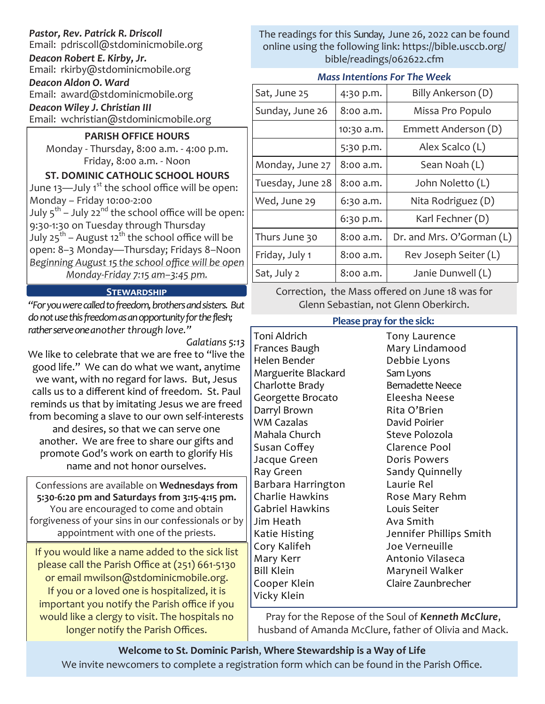# *Pastor, Rev. Patrick R. Driscoll*

Email: pdriscoll@stdominicmobile.org

*Deacon Robert E. Kirby, Jr.* Email: rkirby@stdominicmobile.org

*Deacon Aldon O. Ward* Email: award@stdominicmobile.org

*Deacon Wiley J. Christian III*

Email: wchristian@stdominicmobile.org

# **PARISH OFFICE HOURS**

Monday - Thursday, 8:00 a.m. - 4:00 p.m. Friday, 8:00 a.m. - Noon

**ST. DOMINIC CATHOLIC SCHOOL HOURS**  June  $13$ —July  $1^{st}$  the school office will be open: Monday – Friday 10:00-2:00 July 5<sup>th</sup> – July 22<sup>nd</sup> the school office will be open: 9:30-1:30 on Tuesday through Thursday July 25<sup>th</sup> – August 12<sup>th</sup> the school office will be open: 8–3 Monday—Thursday; Fridays 8–Noon *Beginning August 15 the school office will be open Monday-Friday 7:15 am–3:45 pm.*

# **Stewardship**

*"For you were called to freedom, brothers and sisters. But do not use this freedom as an opportunity for the flesh; rather serve one another through love."* 

*Galatians 5:13*

We like to celebrate that we are free to "live the good life." We can do what we want, anytime we want, with no regard for laws. But, Jesus calls us to a different kind of freedom. St. Paul reminds us that by imitating Jesus we are freed from becoming a slave to our own self-interests and desires, so that we can serve one another. We are free to share our gifts and promote God's work on earth to glorify His

name and not honor ourselves.

Confessions are available on **Wednesdays from 5:30-6:20 pm and Saturdays from 3:15-4:15 pm.**  You are encouraged to come and obtain forgiveness of your sins in our confessionals or by appointment with one of the priests.

If you would like a name added to the sick list please call the Parish Office at (251) 661-5130 or email mwilson@stdominicmobile.org. If you or a loved one is hospitalized, it is important you notify the Parish office if you would like a clergy to visit. The hospitals no longer notify the Parish Offices.

The readings for this Sunday, June 26, 2022 can be found online using the following link: https://bible.usccb.org/ bible/readings/062622.cfm

# *Mass Intentions For The Week*

| Sat, June 25     | 4:30 p.m.  | Billy Ankerson (D)        |
|------------------|------------|---------------------------|
| Sunday, June 26  | 8:00 a.m.  | Missa Pro Populo          |
|                  | 10:30 a.m. | Emmett Anderson (D)       |
|                  | 5:30 p.m.  | Alex Scalco (L)           |
| Monday, June 27  | 8:00 a.m.  | Sean Noah (L)             |
| Tuesday, June 28 | 8:00 a.m.  | John Noletto (L)          |
| Wed, June 29     | 6:30 a.m.  | Nita Rodriguez (D)        |
|                  | 6:30 p.m.  | Karl Fechner (D)          |
| Thurs June 30    | 8:00 a.m.  | Dr. and Mrs. O'Gorman (L) |
| Friday, July 1   | 8:00 a.m.  | Rev Joseph Seiter (L)     |
| Sat, July 2      | 8:00 a.m.  | Janie Dunwell (L)         |

Correction, the Mass offered on June 18 was for Glenn Sebastian, not Glenn Oberkirch.

# **Please pray for the sick:**

Toni Aldrich Frances Baugh Helen Bender Marguerite Blackard Charlotte Brady Georgette Brocato Darryl Brown WM Cazalas Mahala Church Susan Coffey Jacque Green Ray Green Barbara Harrington Charlie Hawkins Gabriel Hawkins Jim Heath Katie Histing Cory Kalifeh Mary Kerr Bill Klein Cooper Klein Vicky Klein

Tony Laurence Mary Lindamood Debbie Lyons Sam Lyons Bernadette Neece Eleesha Neese Rita O'Brien David Poirier Steve Polozola Clarence Pool Doris Powers Sandy Quinnelly Laurie Rel Rose Mary Rehm Louis Seiter Ava Smith Jennifer Phillips Smith Joe Verneuille Antonio Vilaseca Maryneil Walker Claire Zaunbrecher

Pray for the Repose of the Soul of *Kenneth McClure*, husband of Amanda McClure, father of Olivia and Mack.

# **Welcome to St. Dominic Parish**, **Where Stewardship is a Way of Life**  We invite newcomers to complete a registration form which can be found in the Parish Office.